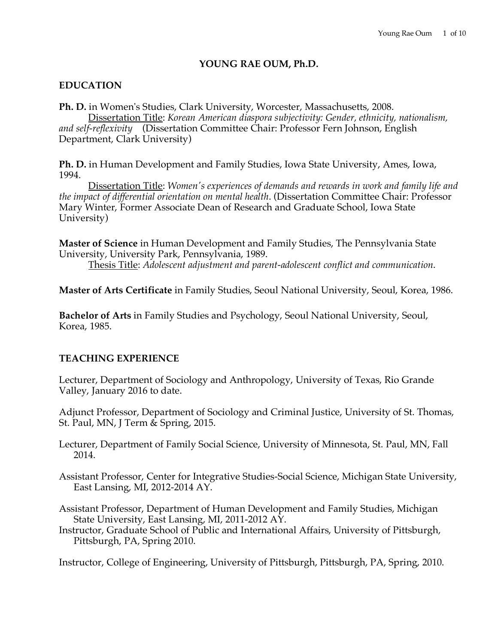### **YOUNG RAE OUM, Ph.D.**

# **EDUCATION**

**Ph. D.** in Women's Studies, Clark University, Worcester, Massachusetts, 2008. Dissertation Title: *Korean American diaspora subjectivity: Gender, ethnicity, nationalism, and self-reflexivity* (Dissertation Committee Chair: Professor Fern Johnson, English Department, Clark University)

**Ph. D.** in Human Development and Family Studies, Iowa State University, Ames, Iowa, 1994.

Dissertation Title: *Women's experiences of demands and rewards in work and family life and the impact of differential orientation on mental health*. (Dissertation Committee Chair: Professor Mary Winter, Former Associate Dean of Research and Graduate School, Iowa State University)

**Master of Science** in Human Development and Family Studies, The Pennsylvania State University, University Park, Pennsylvania, 1989.

Thesis Title: *Adolescent adjustment and parent-adolescent conflict and communication*.

**Master of Arts Certificate** in Family Studies, Seoul National University, Seoul, Korea, 1986.

**Bachelor of Arts** in Family Studies and Psychology, Seoul National University, Seoul, Korea, 1985.

# **TEACHING EXPERIENCE**

Lecturer, Department of Sociology and Anthropology, University of Texas, Rio Grande Valley, January 2016 to date.

Adjunct Professor, Department of Sociology and Criminal Justice, University of St. Thomas, St. Paul, MN, J Term & Spring, 2015.

Lecturer, Department of Family Social Science, University of Minnesota, St. Paul, MN, Fall 2014.

Assistant Professor, Center for Integrative Studies-Social Science, Michigan State University, East Lansing, MI, 2012-2014 AY.

Assistant Professor, Department of Human Development and Family Studies, Michigan State University, East Lansing, MI, 2011-2012 AY.

Instructor, Graduate School of Public and International Affairs, University of Pittsburgh, Pittsburgh, PA, Spring 2010.

Instructor, College of Engineering, University of Pittsburgh, Pittsburgh, PA, Spring, 2010.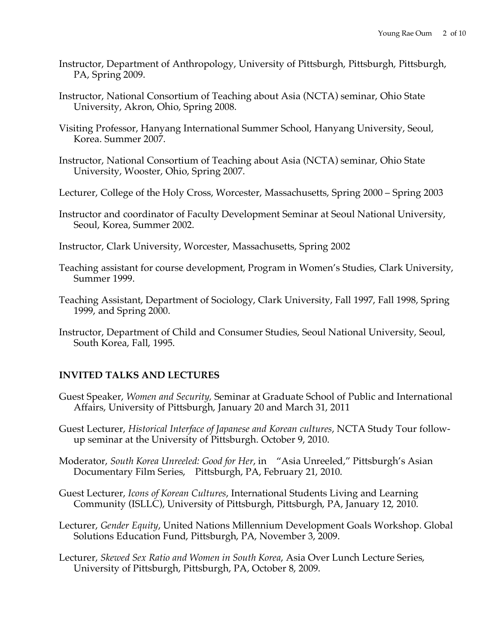- Instructor, Department of Anthropology, University of Pittsburgh, Pittsburgh, Pittsburgh, PA, Spring 2009.
- Instructor, National Consortium of Teaching about Asia (NCTA) seminar, Ohio State University, Akron, Ohio, Spring 2008.
- Visiting Professor, Hanyang International Summer School, Hanyang University, Seoul, Korea. Summer 2007.
- Instructor, National Consortium of Teaching about Asia (NCTA) seminar, Ohio State University, Wooster, Ohio, Spring 2007.
- Lecturer, College of the Holy Cross, Worcester, Massachusetts, Spring 2000 Spring 2003
- Instructor and coordinator of Faculty Development Seminar at Seoul National University, Seoul, Korea, Summer 2002.
- Instructor, Clark University, Worcester, Massachusetts, Spring 2002
- Teaching assistant for course development, Program in Women's Studies, Clark University, Summer 1999.
- Teaching Assistant, Department of Sociology, Clark University, Fall 1997, Fall 1998, Spring 1999, and Spring 2000.
- Instructor, Department of Child and Consumer Studies, Seoul National University, Seoul, South Korea, Fall, 1995.

### **INVITED TALKS AND LECTURES**

- Guest Speaker, *Women and Security,* Seminar at Graduate School of Public and International Affairs, University of Pittsburgh, January 20 and March 31, 2011
- Guest Lecturer, *Historical Interface of Japanese and Korean cultures*, NCTA Study Tour followup seminar at the University of Pittsburgh. October 9, 2010.
- Moderator, *South Korea Unreeled: Good for Her*, in "Asia Unreeled," Pittsburgh's Asian Documentary Film Series,Pittsburgh, PA, February 21, 2010.
- Guest Lecturer, *Icons of Korean Cultures*, International Students Living and Learning Community (ISLLC), University of Pittsburgh, Pittsburgh, PA, January 12, 2010.
- Lecturer, *Gender Equity*, United Nations Millennium Development Goals Workshop. Global Solutions Education Fund, Pittsburgh, PA, November 3, 2009.
- Lecturer, *Skewed Sex Ratio and Women in South Korea*, Asia Over Lunch Lecture Series, University of Pittsburgh, Pittsburgh, PA, October 8, 2009.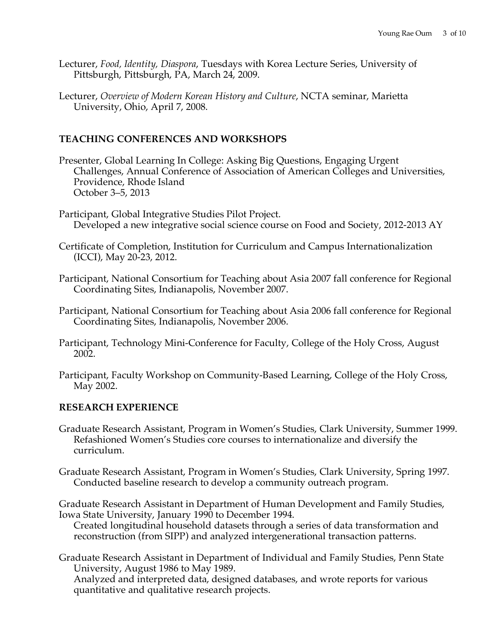- Lecturer, *Food, Identity, Diaspora*, Tuesdays with Korea Lecture Series, University of Pittsburgh, Pittsburgh, PA, March 24, 2009.
- Lecturer, *Overview of Modern Korean History and Culture*, NCTA seminar, Marietta University, Ohio, April 7, 2008.

# **TEACHING CONFERENCES AND WORKSHOPS**

- Presenter, Global Learning In College: Asking Big Questions, Engaging Urgent Challenges, Annual Conference of Association of American Colleges and Universities, Providence, Rhode Island October 3–5, 2013
- Participant, Global Integrative Studies Pilot Project. Developed a new integrative social science course on Food and Society, 2012-2013 AY
- Certificate of Completion, Institution for Curriculum and Campus Internationalization (ICCI), May 20-23, 2012.
- Participant, National Consortium for Teaching about Asia 2007 fall conference for Regional Coordinating Sites, Indianapolis, November 2007.
- Participant, National Consortium for Teaching about Asia 2006 fall conference for Regional Coordinating Sites, Indianapolis, November 2006.
- Participant, Technology Mini-Conference for Faculty, College of the Holy Cross, August 2002.
- Participant, Faculty Workshop on Community-Based Learning, College of the Holy Cross, May 2002.

# **RESEARCH EXPERIENCE**

- Graduate Research Assistant, Program in Women's Studies, Clark University, Summer 1999. Refashioned Women's Studies core courses to internationalize and diversify the curriculum.
- Graduate Research Assistant, Program in Women's Studies, Clark University, Spring 1997. Conducted baseline research to develop a community outreach program.

Graduate Research Assistant in Department of Human Development and Family Studies, Iowa State University, January 1990 to December 1994.

Created longitudinal household datasets through a series of data transformation and reconstruction (from SIPP) and analyzed intergenerational transaction patterns.

Graduate Research Assistant in Department of Individual and Family Studies, Penn State University, August 1986 to May 1989.

Analyzed and interpreted data, designed databases, and wrote reports for various quantitative and qualitative research projects.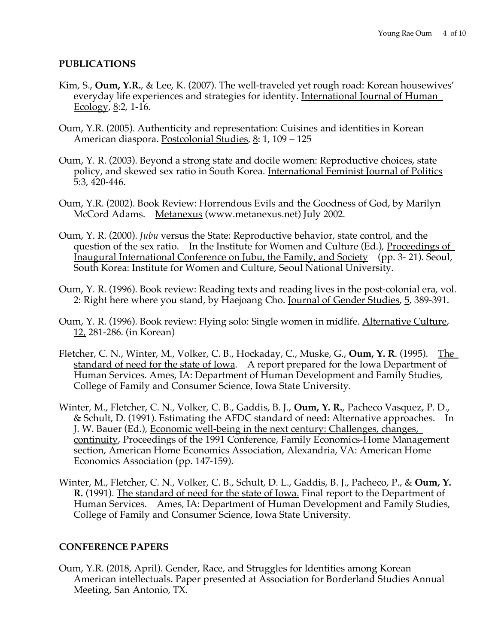#### **PUBLICATIONS**

- Kim, S., **Oum, Y.R.**, & Lee, K. (2007). The well-traveled yet rough road: Korean housewives' everyday life experiences and strategies for identity. International Journal of Human Ecology,  $8:2$ , 1-16.
- Oum, Y.R. (2005). Authenticity and representation: Cuisines and identities in Korean American diaspora. Postcolonial Studies, 8: 1, 109 - 125
- Oum, Y. R. (2003). Beyond a strong state and docile women: Reproductive choices, state policy, and skewed sex ratio in South Korea. International Feminist Journal of Politics 5:3, 420-446.
- Oum, Y.R. (2002). Book Review: Horrendous Evils and the Goodness of God, by Marilyn McCord Adams. Metanexus (www.metanexus.net) July 2002.
- Oum, Y. R. (2000). *Jubu* versus the State: Reproductive behavior, state control, and the question of the sex ratio. In the Institute for Women and Culture (Ed.), Proceedings of Inaugural International Conference on Jubu, the Family, and Society (pp. 3- 21). Seoul, South Korea: Institute for Women and Culture, Seoul National University.
- Oum, Y. R. (1996). Book review: Reading texts and reading lives in the post-colonial era, vol. 2: Right here where you stand, by Haejoang Cho. Journal of Gender Studies, 5, 389-391.
- Oum, Y. R. (1996). Book review: Flying solo: Single women in midlife. Alternative Culture, 12, 281-286. (in Korean)
- Fletcher, C. N., Winter, M., Volker, C. B., Hockaday, C., Muske, G., **Oum, Y. R**. (1995). The standard of need for the state of Iowa. A report prepared for the Iowa Department of Human Services. Ames, IA: Department of Human Development and Family Studies, College of Family and Consumer Science, Iowa State University.
- Winter, M., Fletcher, C. N., Volker, C. B., Gaddis, B. J., **Oum, Y. R.**, Pacheco Vasquez, P. D., & Schult, D. (1991). Estimating the AFDC standard of need: Alternative approaches. In J. W. Bauer (Ed.), Economic well-being in the next century: Challenges, changes, continuity, Proceedings of the 1991 Conference, Family Economics-Home Management section, American Home Economics Association, Alexandria, VA: American Home Economics Association (pp. 147-159).
- Winter, M., Fletcher, C. N., Volker, C. B., Schult, D. L., Gaddis, B. J., Pacheco, P., & **Oum, Y. R.** (1991). The standard of need for the state of Iowa. Final report to the Department of Human Services. Ames, IA: Department of Human Development and Family Studies, College of Family and Consumer Science, Iowa State University.

### **CONFERENCE PAPERS**

Oum, Y.R. (2018, April). Gender, Race, and Struggles for Identities among Korean American intellectuals. Paper presented at Association for Borderland Studies Annual Meeting, San Antonio, TX.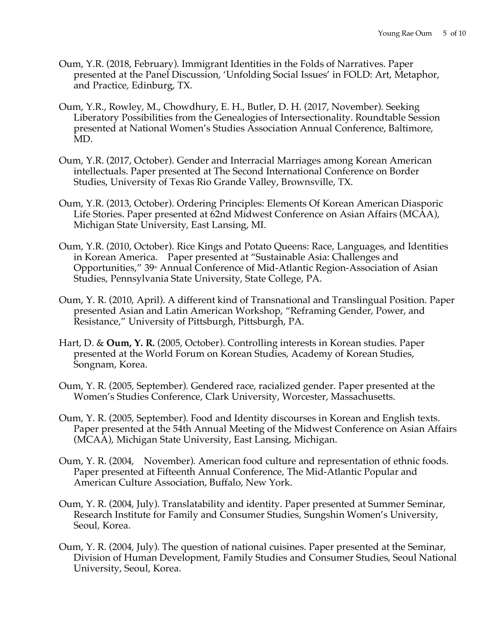- Oum, Y.R. (2018, February). Immigrant Identities in the Folds of Narratives. Paper presented at the Panel Discussion, 'Unfolding Social Issues' in FOLD: Art, Metaphor, and Practice, Edinburg, TX.
- Oum, Y.R., Rowley, M., Chowdhury, E. H., Butler, D. H. (2017, November). Seeking Liberatory Possibilities from the Genealogies of Intersectionality. Roundtable Session presented at National Women's Studies Association Annual Conference, Baltimore, MD.
- Oum, Y.R. (2017, October). Gender and Interracial Marriages among Korean American intellectuals. Paper presented at The Second International Conference on Border Studies, University of Texas Rio Grande Valley, Brownsville, TX.
- Oum, Y.R. (2013, October). Ordering Principles: Elements Of Korean American Diasporic Life Stories. Paper presented at 62nd Midwest Conference on Asian Affairs (MCAA), Michigan State University, East Lansing, MI.
- Oum, Y.R. (2010, October). Rice Kings and Potato Queens: Race, Languages, and Identities in Korean America. Paper presented at "Sustainable Asia: Challenges and Opportunities," 39<sup>th</sup> Annual Conference of Mid-Atlantic Region-Association of Asian Studies, Pennsylvania State University, State College, PA.
- Oum, Y. R. (2010, April). A different kind of Transnational and Translingual Position. Paper presented Asian and Latin American Workshop, "Reframing Gender, Power, and Resistance," University of Pittsburgh, Pittsburgh, PA.
- Hart, D. & **Oum, Y. R.** (2005, October). Controlling interests in Korean studies. Paper presented at the World Forum on Korean Studies, Academy of Korean Studies, Songnam, Korea.
- Oum, Y. R. (2005, September). Gendered race, racialized gender. Paper presented at the Women's Studies Conference, Clark University, Worcester, Massachusetts.
- Oum, Y. R. (2005, September). Food and Identity discourses in Korean and English texts. Paper presented at the 54th Annual Meeting of the Midwest Conference on Asian Affairs (MCAA), Michigan State University, East Lansing, Michigan.
- Oum, Y. R. (2004, November). American food culture and representation of ethnic foods. Paper presented at Fifteenth Annual Conference, The Mid-Atlantic Popular and American Culture Association, Buffalo, New York.
- Oum, Y. R. (2004, July). Translatability and identity. Paper presented at Summer Seminar, Research Institute for Family and Consumer Studies, Sungshin Women's University, Seoul, Korea.
- Oum, Y. R. (2004, July). The question of national cuisines. Paper presented at the Seminar, Division of Human Development, Family Studies and Consumer Studies, Seoul National University, Seoul, Korea.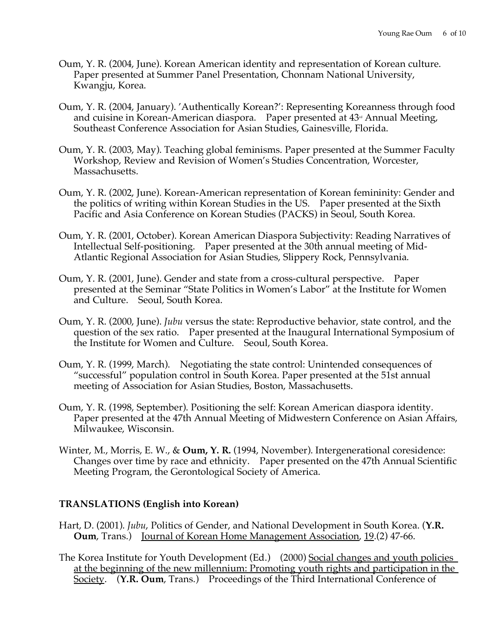- Oum, Y. R. (2004, June). Korean American identity and representation of Korean culture. Paper presented at Summer Panel Presentation, Chonnam National University, Kwangju, Korea.
- Oum, Y. R. (2004, January). 'Authentically Korean?': Representing Koreanness through food and cuisine in Korean-American diaspora. Paper presented at  $43<sup>rd</sup>$  Annual Meeting, Southeast Conference Association for Asian Studies, Gainesville, Florida.
- Oum, Y. R. (2003, May). Teaching global feminisms. Paper presented at the Summer Faculty Workshop, Review and Revision of Women's Studies Concentration, Worcester, Massachusetts.
- Oum, Y. R. (2002, June). Korean-American representation of Korean femininity: Gender and the politics of writing within Korean Studies in the US. Paper presented at the Sixth Pacific and Asia Conference on Korean Studies (PACKS) in Seoul, South Korea.
- Oum, Y. R. (2001, October). Korean American Diaspora Subjectivity: Reading Narratives of Intellectual Self-positioning. Paper presented at the 30th annual meeting of Mid-Atlantic Regional Association for Asian Studies, Slippery Rock, Pennsylvania.
- Oum, Y. R. (2001, June). Gender and state from a cross-cultural perspective. Paper presented at the Seminar "State Politics in Women's Labor" at the Institute for Women and Culture. Seoul, South Korea.
- Oum, Y. R. (2000, June). *Jubu* versus the state: Reproductive behavior, state control, and the question of the sex ratio. Paper presented at the Inaugural International Symposium of the Institute for Women and Culture. Seoul, South Korea.
- Oum, Y. R. (1999, March). Negotiating the state control: Unintended consequences of "successful" population control in South Korea. Paper presented at the 51st annual meeting of Association for Asian Studies, Boston, Massachusetts.
- Oum, Y. R. (1998, September). Positioning the self: Korean American diaspora identity. Paper presented at the 47th Annual Meeting of Midwestern Conference on Asian Affairs, Milwaukee, Wisconsin.
- Winter, M., Morris, E. W., & **Oum, Y. R.** (1994, November). Intergenerational coresidence: Changes over time by race and ethnicity. Paper presented on the 47th Annual Scientific Meeting Program, the Gerontological Society of America.

### **TRANSLATIONS (English into Korean)**

- Hart, D. (2001). *Jubu*, Politics of Gender, and National Development in South Korea. (**Y.R. Oum**, Trans.) Journal of Korean Home Management Association, 19.(2) 47-66.
- The Korea Institute for Youth Development (Ed.) (2000) Social changes and youth policies at the beginning of the new millennium: Promoting youth rights and participation in the Society. (**Y.R. Oum**, Trans.) Proceedings of the Third International Conference of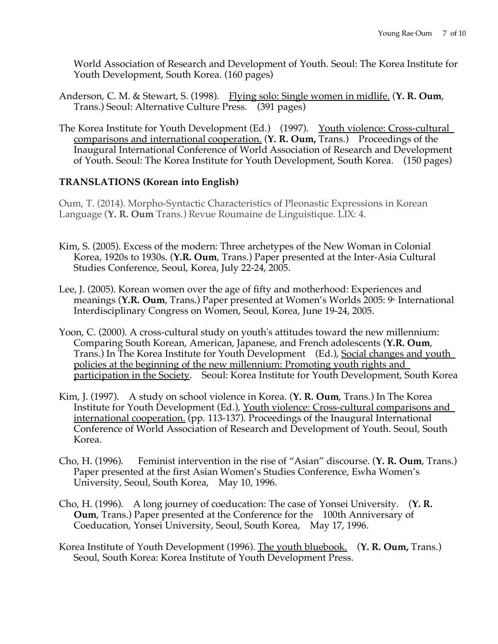World Association of Research and Development of Youth. Seoul: The Korea Institute for Youth Development, South Korea. (160 pages)

- Anderson, C. M. & Stewart, S. (1998). Flying solo: Single women in midlife. (**Y. R. Oum**, Trans.) Seoul: Alternative Culture Press. (391 pages)
- The Korea Institute for Youth Development (Ed.) (1997). Youth violence: Cross-cultural comparisons and international cooperation. (**Y. R. Oum,** Trans.) Proceedings of the Inaugural International Conference of World Association of Research and Development of Youth. Seoul: The Korea Institute for Youth Development, South Korea. (150 pages)

# **TRANSLATIONS (Korean into English)**

Oum, T. (2014). Morpho-Syntactic Characteristics of Pleonastic Expressions in Korean Language (**Y. R. Oum** Trans.) Revue Roumaine de Linguistique. LIX: 4.

- Kim, S. (2005). Excess of the modern: Three archetypes of the New Woman in Colonial Korea, 1920s to 1930s. (**Y.R. Oum**, Trans.) Paper presented at the Inter-Asia Cultural Studies Conference, Seoul, Korea, July 22-24, 2005.
- Lee, J. (2005). Korean women over the age of fifty and motherhood: Experiences and meanings (Y.R. Oum, Trans.) Paper presented at Women's Worlds 2005: 9<sup>th</sup> International Interdisciplinary Congress on Women, Seoul, Korea, June 19-24, 2005.
- Yoon, C. (2000). A cross-cultural study on youth's attitudes toward the new millennium: Comparing South Korean, American, Japanese, and French adolescents (**Y.R. Oum**, Trans.) In The Korea Institute for Youth Development (Ed.), Social changes and youth policies at the beginning of the new millennium: Promoting youth rights and participation in the Society. Seoul: Korea Institute for Youth Development, South Korea
- Kim, J. (1997). A study on school violence in Korea. (**Y. R. Oum**, Trans.) In The Korea Institute for Youth Development (Ed.), Youth violence: Cross-cultural comparisons and international cooperation. (pp. 113-137). Proceedings of the Inaugural International Conference of World Association of Research and Development of Youth. Seoul, South Korea.
- Cho, H. (1996). Feminist intervention in the rise of "Asian" discourse. (**Y. R. Oum**, Trans.) Paper presented at the first Asian Women's Studies Conference, Ewha Women's University, Seoul, South Korea, May 10, 1996.
- Cho, H. (1996). A long journey of coeducation: The case of Yonsei University. (**Y. R. Oum**, Trans.) Paper presented at the Conference for the 100th Anniversary of Coeducation, Yonsei University, Seoul, South Korea, May 17, 1996.
- Korea Institute of Youth Development (1996). The youth bluebook. (**Y. R. Oum,** Trans.) Seoul, South Korea: Korea Institute of Youth Development Press.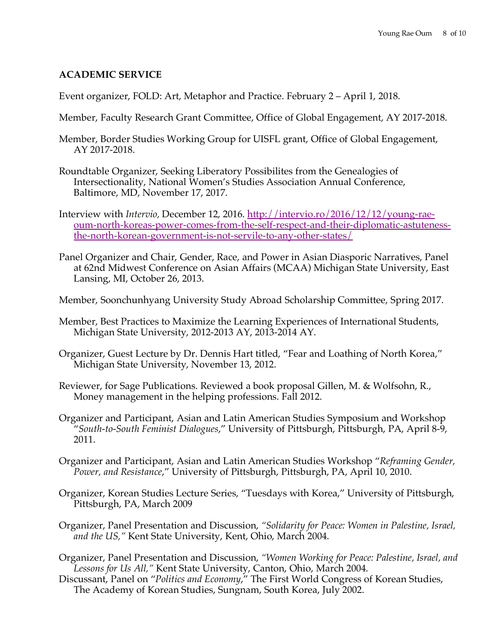### **ACADEMIC SERVICE**

Event organizer, FOLD: Art, Metaphor and Practice. February 2 – April 1, 2018.

- Member, Faculty Research Grant Committee, Office of Global Engagement, AY 2017-2018.
- Member, Border Studies Working Group for UISFL grant, Office of Global Engagement, AY 2017-2018.
- Roundtable Organizer, Seeking Liberatory Possibilites from the Genealogies of Intersectionality, National Women's Studies Association Annual Conference, Baltimore, MD, November 17, 2017.
- Interview with *Intervio,* December 12, 2016. http://intervio.ro/2016/12/12/young-raeoum-north-koreas-power-comes-from-the-self-respect-and-their-diplomatic-astutenessthe-north-korean-government-is-not-servile-to-any-other-states/
- Panel Organizer and Chair, Gender, Race, and Power in Asian Diasporic Narratives, Panel at 62nd Midwest Conference on Asian Affairs (MCAA) Michigan State University, East Lansing, MI, October 26, 2013.
- Member, Soonchunhyang University Study Abroad Scholarship Committee, Spring 2017.
- Member, Best Practices to Maximize the Learning Experiences of International Students, Michigan State University, 2012-2013 AY, 2013-2014 AY.
- Organizer, Guest Lecture by Dr. Dennis Hart titled, "Fear and Loathing of North Korea," Michigan State University, November 13, 2012.
- Reviewer, for Sage Publications. Reviewed a book proposal Gillen, M. & Wolfsohn, R., Money management in the helping professions. Fall 2012.
- Organizer and Participant, Asian and Latin American Studies Symposium and Workshop "*South-to-South Feminist Dialogues*," University of Pittsburgh, Pittsburgh, PA, April 8-9, 2011.
- Organizer and Participant, Asian and Latin American Studies Workshop "*Reframing Gender, Power, and Resistance*," University of Pittsburgh, Pittsburgh, PA, April 10, 2010.
- Organizer, Korean Studies Lecture Series, "Tuesdays with Korea," University of Pittsburgh, Pittsburgh, PA, March 2009
- Organizer, Panel Presentation and Discussion, *"Solidarity for Peace: Women in Palestine, Israel, and the US,"* Kent State University, Kent, Ohio, March 2004.
- Organizer, Panel Presentation and Discussion, *"Women Working for Peace: Palestine, Israel, and Lessons for Us All,"* Kent State University, Canton, Ohio, March 2004.
- Discussant, Panel on "*Politics and Economy*," The First World Congress of Korean Studies, The Academy of Korean Studies, Sungnam, South Korea, July 2002.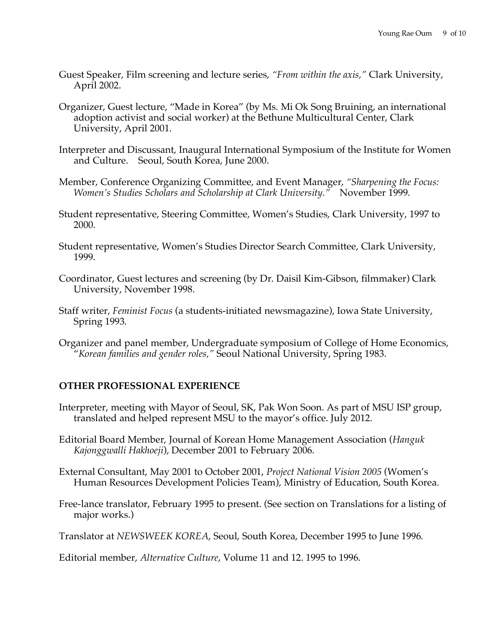- Guest Speaker, Film screening and lecture series, *"From within the axis,"* Clark University, April 2002.
- Organizer, Guest lecture, "Made in Korea" (by Ms. Mi Ok Song Bruining, an international adoption activist and social worker) at the Bethune Multicultural Center, Clark University, April 2001.
- Interpreter and Discussant, Inaugural International Symposium of the Institute for Women and Culture. Seoul, South Korea, June 2000.
- Member, Conference Organizing Committee, and Event Manager, *"Sharpening the Focus: Women's Studies Scholars and Scholarship at Clark University."* November 1999.
- Student representative, Steering Committee, Women's Studies, Clark University, 1997 to 2000.
- Student representative, Women's Studies Director Search Committee, Clark University, 1999.
- Coordinator, Guest lectures and screening (by Dr. Daisil Kim-Gibson, filmmaker) Clark University, November 1998.
- Staff writer, *Feminist Focus* (a students-initiated newsmagazine), Iowa State University, Spring 1993.
- Organizer and panel member, Undergraduate symposium of College of Home Economics, "*Korean families and gender roles,"* Seoul National University, Spring 1983.

### **OTHER PROFESSIONAL EXPERIENCE**

- Interpreter, meeting with Mayor of Seoul, SK, Pak Won Soon. As part of MSU ISP group, translated and helped represent MSU to the mayor's office. July 2012.
- Editorial Board Member, Journal of Korean Home Management Association (*Hanguk Kajonggwalli Hakhoeji*), December 2001 to February 2006.
- External Consultant, May 2001 to October 2001, *Project National Vision 2005* (Women's Human Resources Development Policies Team), Ministry of Education, South Korea.
- Free-lance translator, February 1995 to present. (See section on Translations for a listing of major works.)

Translator at *NEWSWEEK KOREA*, Seoul, South Korea, December 1995 to June 1996.

Editorial member, *Alternative Culture*, Volume 11 and 12. 1995 to 1996.